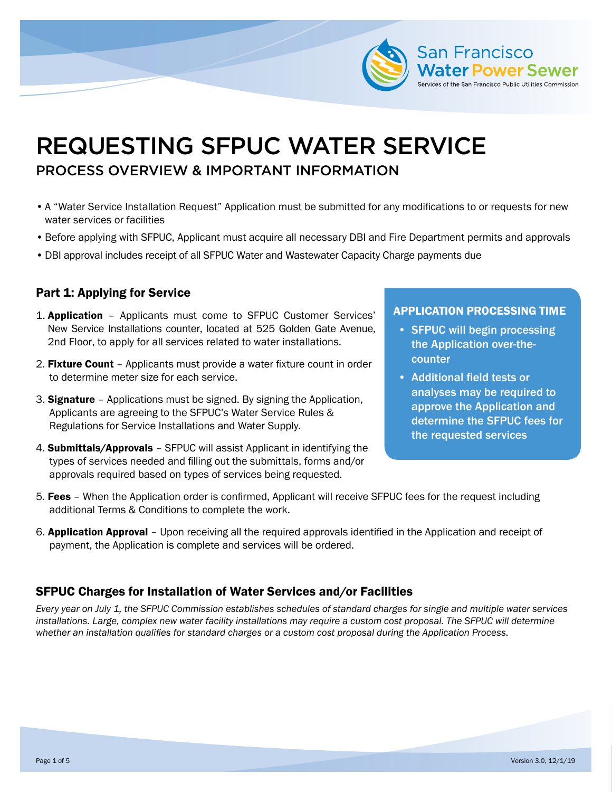

# REQUESTING SFPUC WATER SERVICE PROCESS OVERVIEW & IMPORTANT INFORMATION

- •A "Water Service Installation Request" Application must be submitted for any modifications to or requests for new water services or facilities
- •Before applying with SFPUC, Applicant must acquire all necessary DBI and Fire Department permits and approvals
- •DBI approval includes receipt of all SFPUC Water and Wastewater Capacity Charge payments due

### Part 1: Applying for Service

- 1. Application Applicants must come to SFPUC Customer Services' New Service Installations counter, located at 525 Golden Gate Avenue, 2nd Floor, to apply for all services related to water installations.
- 2. Fixture Count Applicants must provide a water fixture count in order to determine meter size for each service.
- 3. Signature Applications must be signed. By signing the Application, Applicants are agreeing to the SFPUC's Water Service Rules & Regulations for Service Installations and Water Supply.
- 4. Submittals/Approvals SFPUC will assist Applicant in identifying the types of services needed and filling out the submittals, forms and/or approvals required based on types of services being requested.

#### APPLICATION PROCESSING TIME

- SFPUC will begin processing the Application over-thecounter
- Additional field tests or analyses may be required to approve the Application and determine the SFPUC fees for the requested services
- 5. Fees When the Application order is confirmed, Applicant will receive SFPUC fees for the request including additional Terms & Conditions to complete the work.
- 6. Application Approval Upon receiving all the required approvals identified in the Application and receipt of payment, the Application is complete and services will be ordered.

### SFPUC Charges for Installation of Water Services and/or Facilities

*Every year on July 1, the SFPUC Commission establishes schedules of standard charges for single and multiple water services*  installations. Large, complex new water facility installations may require a custom cost proposal. The SFPUC will determine *whether an installation qualifies for standard charges or a custom cost proposal during the Application Process.*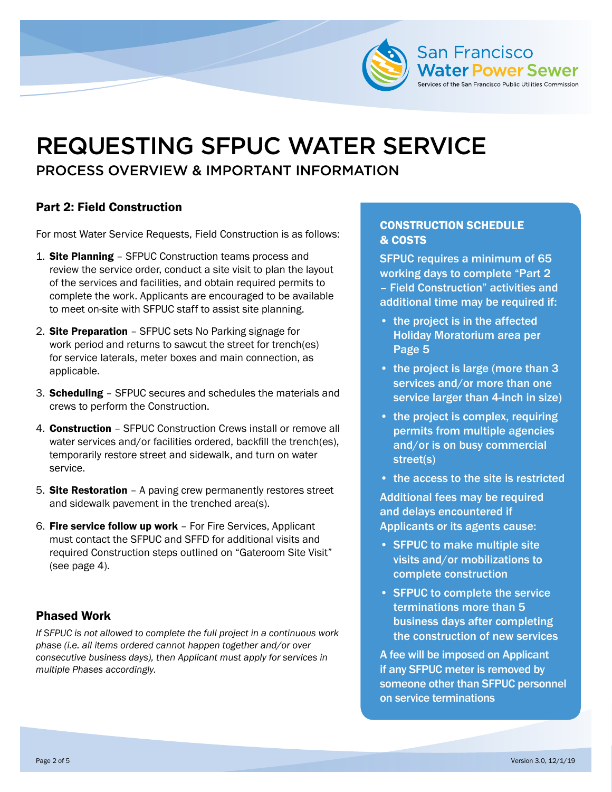

# REQUESTING SFPUC WATER SERVICE PROCESS OVERVIEW & IMPORTANT INFORMATION

## Part 2: Field Construction

For most Water Service Requests, Field Construction is as follows:

- 1. Site Planning SFPUC Construction teams process and review the service order, conduct a site visit to plan the layout of the services and facilities, and obtain required permits to complete the work. Applicants are encouraged to be available to meet on-site with SFPUC staff to assist site planning.
- 2. Site Preparation SFPUC sets No Parking signage for work period and returns to sawcut the street for trench(es) for service laterals, meter boxes and main connection, as applicable.
- 3. Scheduling SFPUC secures and schedules the materials and crews to perform the Construction.
- 4. Construction SFPUC Construction Crews install or remove all water services and/or facilities ordered, backfill the trench(es), temporarily restore street and sidewalk, and turn on water service.
- 5. Site Restoration A paving crew permanently restores street and sidewalk pavement in the trenched area(s).
- 6. Fire service follow up work For Fire Services, Applicant must contact the SFPUC and SFFD for additional visits and required Construction steps outlined on "Gateroom Site Visit" (see page 4).

### Phased Work

*If SFPUC is not allowed to complete the full project in a continuous work phase (i.e. all items ordered cannot happen together and/or over consecutive business days), then Applicant must apply for services in multiple Phases accordingly.* 

### CONSTRUCTION SCHEDULE & COSTS

SFPUC requires a minimum of 65 working days to complete "Part 2 – Field Construction" activities and additional time may be required if:

- the project is in the affected Holiday Moratorium area per Page 5
- the project is large (more than 3 services and/or more than one service larger than 4-inch in size)
- the project is complex, requiring permits from multiple agencies and/or is on busy commercial street(s)
- the access to the site is restricted

Additional fees may be required and delays encountered if Applicants or its agents cause:

- SFPUC to make multiple site visits and/or mobilizations to complete construction
- SFPUC to complete the service terminations more than 5 business days after completing the construction of new services

A fee will be imposed on Applicant if any SFPUC meter is removed by someone other than SFPUC personnel on service terminations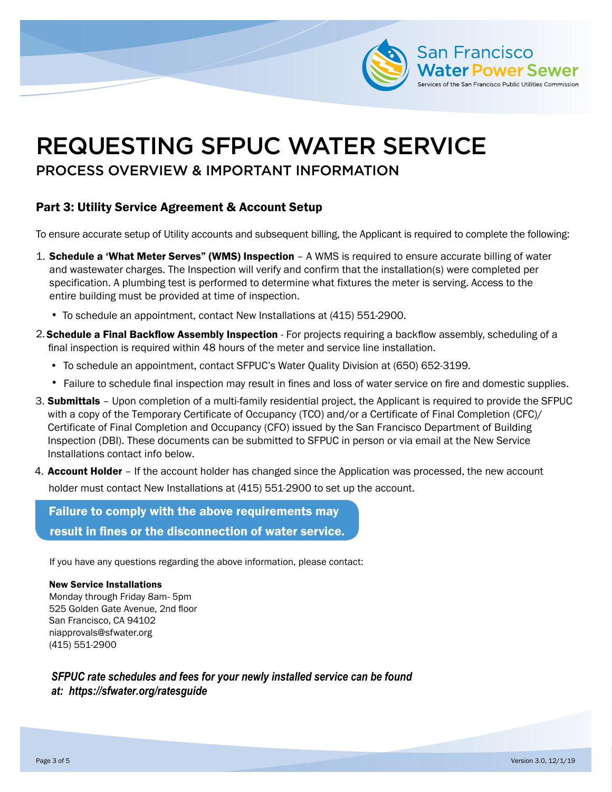

# REQUESTING SFPUC WATER SERVICE

# PROCESS OVERVIEW & IMPORTANT INFORMATION

## Part 3: Utility Service Agreement & Account Setup

To ensure accurate setup of Utility accounts and subsequent billing, the Applicant is required to complete the following:

- 1. Schedule a 'What Meter Serves" (WMS) Inspection A WMS is required to ensure accurate billing of water and wastewater charges. The Inspection will verify and confirm that the installation(s) were completed per specification. A plumbing test is performed to determine what fixtures the meter is serving. Access to the entire building must be provided at time of inspection.
	- To schedule an appointment, contact New Installations at (415) 551-2900.
- 2. Schedule a Final Backflow Assembly Inspection For projects requiring a backflow assembly, scheduling of a final inspection is required within 48 hours of the meter and service line installation.
	- To schedule an appointment, contact SFPUC's Water Quality Division at (650) 652-3199.
	- Failure to schedule final inspection may result in fines and loss of water service on fire and domestic supplies.
- 3. Submittals Upon completion of a multi-family residential project, the Applicant is required to provide the SFPUC with a copy of the Temporary Certificate of Occupancy (TCO) and/or a Certificate of Final Completion (CFC)/ Certificate of Final Completion and Occupancy (CFO) issued by the San Francisco Department of Building Inspection (DBI). These documents can be submitted to SFPUC in person or via email at the New Service Installations contact info below.
- 4. **Account Holder** If the account holder has changed since the Application was processed, the new account holder must contact New Installations at (415) 551-2900 to set up the account.

Failure to comply with the above requirements may result in fines or the disconnection of water service.

If you have any questions regarding the above information, please contact:

### New Service Installations

Monday through Friday 8am- 5pm 525 Golden Gate Avenue, 2nd floor San Francisco, CA 94102 niapprovals@sfwater.org (415) 551-2900

*SFPUC rate schedules and fees for your newly installed service can be found at: https://sfwater.org/ratesguide*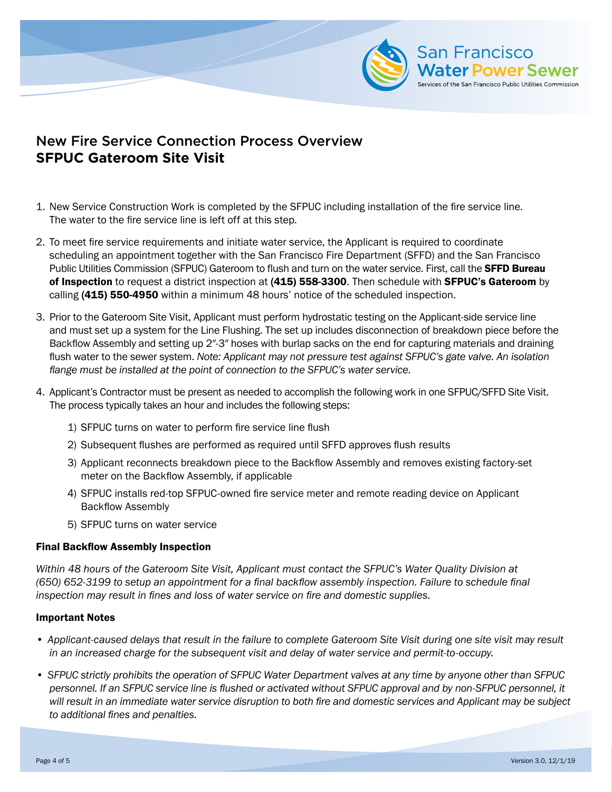

# New Fire Service Connection Process Overview **SFPUC Gateroom Site Visit**

- 1. New Service Construction Work is completed by the SFPUC including installation of the fire service line. The water to the fire service line is left off at this step.
- 2. To meet fire service requirements and initiate water service, the Applicant is required to coordinate scheduling an appointment together with the San Francisco Fire Department (SFFD) and the San Francisco Public Utilities Commission (SFPUC) Gateroom to flush and turn on the water service. First, call the SFFD Bureau of Inspection to request a district inspection at (415) 558-3300. Then schedule with SFPUC's Gateroom by calling (415) 550-4950 within a minimum 48 hours' notice of the scheduled inspection.
- 3. Prior to the Gateroom Site Visit, Applicant must perform hydrostatic testing on the Applicant-side service line and must set up a system for the Line Flushing. The set up includes disconnection of breakdown piece before the Backflow Assembly and setting up 2″-3″ hoses with burlap sacks on the end for capturing materials and draining flush water to the sewer system. *Note: Applicant may not pressure test against SFPUC's gate valve. An isolation flange must be installed at the point of connection to the SFPUC's water service.*
- 4. Applicant's Contractor must be present as needed to accomplish the following work in one SFPUC/SFFD Site Visit. The process typically takes an hour and includes the following steps:
	- 1) SFPUC turns on water to perform fire service line flush
	- 2) Subsequent flushes are performed as required until SFFD approves flush results
	- 3) Applicant reconnects breakdown piece to the Backflow Assembly and removes existing factory-set meter on the Backflow Assembly, if applicable
	- 4) SFPUC installs red-top SFPUC-owned fire service meter and remote reading device on Applicant Backflow Assembly
	- 5) SFPUC turns on water service

### Final Backflow Assembly Inspection

*Within 48 hours of the Gateroom Site Visit, Applicant must contact the SFPUC's Water Quality Division at (650) 652-3199 to setup an appointment for a final backflow assembly inspection. Failure to schedule final inspection may result in fines and loss of water service on fire and domestic supplies.*

#### Important Notes

- *• Applicant-caused delays that result in the failure to complete Gateroom Site Visit during one site visit may result in an increased charge for the subsequent visit and delay of water service and permit-to-occupy.*
- *• SFPUC strictly prohibits the operation of SFPUC Water Department valves at any time by anyone other than SFPUC personnel. If an SFPUC service line is flushed or activated without SFPUC approval and by non-SFPUC personnel, it will result in an immediate water service disruption to both fire and domestic services and Applicant may be subject to additional fines and penalties.*